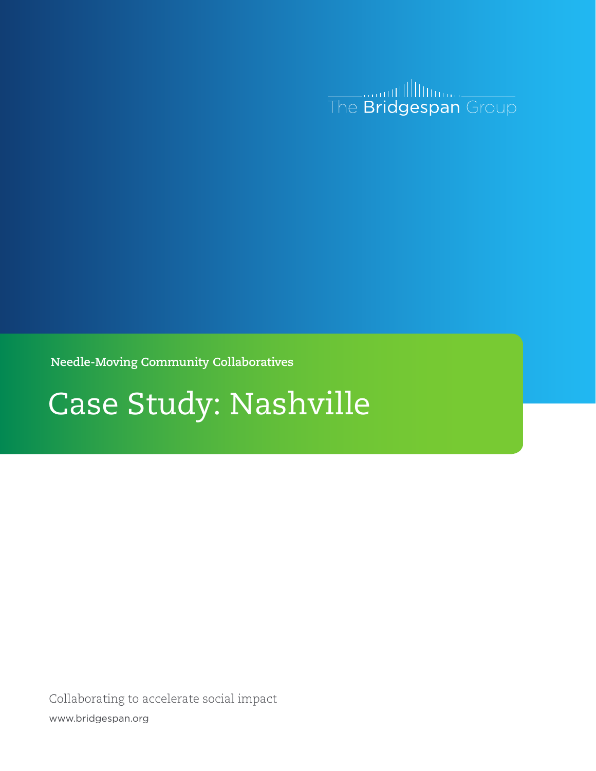

**Needle-Moving Community Collaboratives**

# Case Study: Nashville

Collaborating to accelerate social impact www.bridgespan.org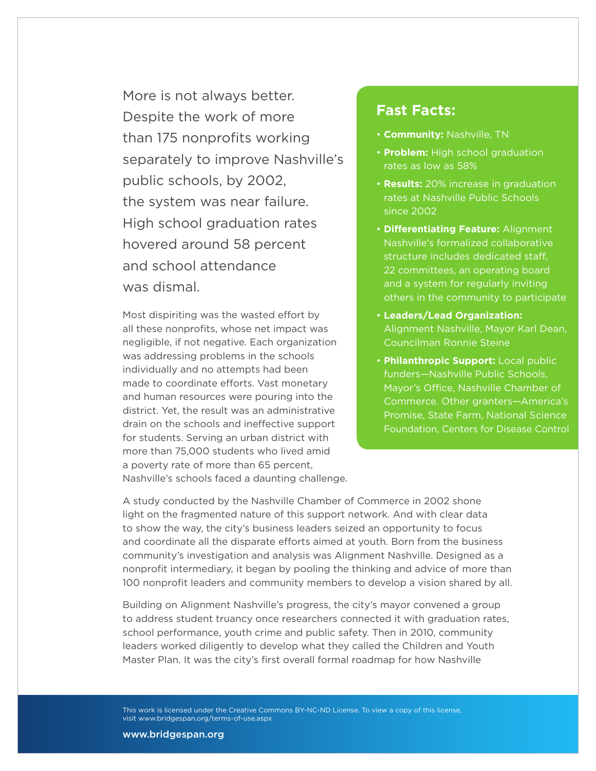More is not always better. Despite the work of more than 175 nonprofits working separately to improve Nashville's public schools, by 2002, the system was near failure. High school graduation rates hovered around 58 percent and school attendance was dismal.

Most dispiriting was the wasted effort by all these nonprofits, whose net impact was negligible, if not negative. Each organization was addressing problems in the schools individually and no attempts had been made to coordinate efforts. Vast monetary and human resources were pouring into the district. Yet, the result was an administrative drain on the schools and ineffective support for students. Serving an urban district with more than 75,000 students who lived amid a poverty rate of more than 65 percent, Nashville's schools faced a daunting challenge.

## **Fast Facts:**

- **Community:** Nashville, TN
- **Problem:** High school graduation rates as low as 58%
- **Results:** 20% increase in graduation rates at Nashville Public Schools since 2002
- **Differentiating Feature:** Alignment Nashville's formalized collaborative structure includes dedicated staff, 22 committees, an operating board and a system for regularly inviting others in the community to participate
- **Leaders/Lead Organization:** Alignment Nashville, Mayor Karl Dean, Councilman Ronnie Steine
- **Philanthropic Support:** Local public funders—Nashville Public Schools, Mayor's Office, Nashville Chamber of Commerce. Other granters—America's Promise, State Farm, National Science Foundation, Centers for Disease Control

A study conducted by the Nashville Chamber of Commerce in 2002 shone light on the fragmented nature of this support network. And with clear data to show the way, the city's business leaders seized an opportunity to focus and coordinate all the disparate efforts aimed at youth. Born from the business community's investigation and analysis was Alignment Nashville. Designed as a nonprofit intermediary, it began by pooling the thinking and advice of more than 100 nonprofit leaders and community members to develop a vision shared by all.

Building on Alignment Nashville's progress, the city's mayor convened a group to address student truancy once researchers connected it with graduation rates, school performance, youth crime and public safety. Then in 2010, community leaders worked diligently to develop what they called the Children and Youth Master Plan. It was the city's first overall formal roadmap for how Nashville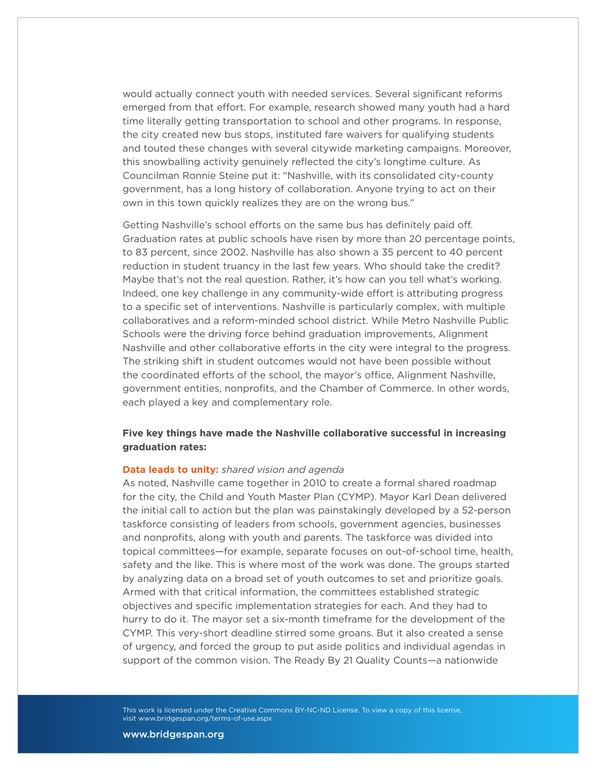would actually connect youth with needed services. Several significant reforms emerged from that effort. For example, research showed many youth had a hard time literally getting transportation to school and other programs. In response, the city created new bus stops, instituted fare waivers for qualifying students and touted these changes with several citywide marketing campaigns. Moreover, this snowballing activity genuinely reflected the city's longtime culture. As Councilman Ronnie Steine put it: "Nashville, with its consolidated city-county government, has a long history of collaboration. Anyone trying to act on their own in this town quickly realizes they are on the wrong bus."

Getting Nashville's school efforts on the same bus has definitely paid off. Graduation rates at public schools have risen by more than 20 percentage points, to 83 percent, since 2002. Nashville has also shown a 35 percent to 40 percent reduction in student truancy in the last few years. Who should take the credit? Maybe that's not the real question. Rather, it's how can you tell what's working. Indeed, one key challenge in any community-wide effort is attributing progress to a specific set of interventions. Nashville is particularly complex, with multiple collaboratives and a reform-minded school district. While Metro Nashville Public Schools were the driving force behind graduation improvements, Alignment Nashville and other collaborative efforts in the city were integral to the progress. The striking shift in student outcomes would not have been possible without the coordinated efforts of the school, the mayor's office, Alignment Nashville, government entities, nonprofits, and the Chamber of Commerce. In other words, each played a key and complementary role.

## **Five key things have made the Nashville collaborative successful in increasing graduation rates:**

#### **Data leads to unity:** *shared vision and agenda*

As noted, Nashville came together in 2010 to create a formal shared roadmap for the city, the Child and Youth Master Plan (CYMP). Mayor Karl Dean delivered the initial call to action but the plan was painstakingly developed by a 52-person taskforce consisting of leaders from schools, government agencies, businesses and nonprofits, along with youth and parents. The taskforce was divided into topical committees—for example, separate focuses on out-of-school time, health, safety and the like. This is where most of the work was done. The groups started by analyzing data on a broad set of youth outcomes to set and prioritize goals. Armed with that critical information, the committees established strategic objectives and specific implementation strategies for each. And they had to hurry to do it. The mayor set a six-month timeframe for the development of the CYMP. This very-short deadline stirred some groans. But it also created a sense of urgency, and forced the group to put aside politics and individual agendas in support of the common vision. The Ready By 21 Quality Counts—a nationwide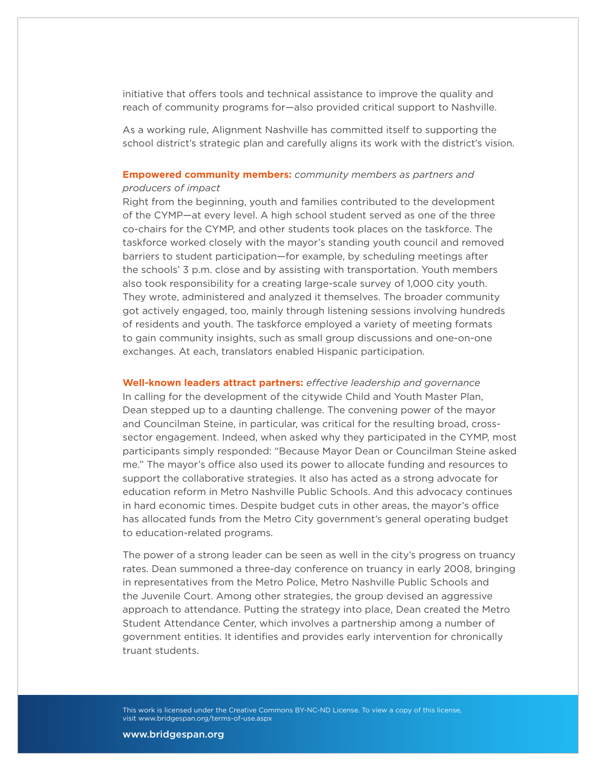initiative that offers tools and technical assistance to improve the quality and reach of community programs for—also provided critical support to Nashville.

As a working rule, Alignment Nashville has committed itself to supporting the school district's strategic plan and carefully aligns its work with the district's vision.

### **Empowered community members:** *community members as partners and producers of impact*

Right from the beginning, youth and families contributed to the development of the CYMP—at every level. A high school student served as one of the three co-chairs for the CYMP, and other students took places on the taskforce. The taskforce worked closely with the mayor's standing youth council and removed barriers to student participation—for example, by scheduling meetings after the schools' 3 p.m. close and by assisting with transportation. Youth members also took responsibility for a creating large-scale survey of 1,000 city youth. They wrote, administered and analyzed it themselves. The broader community got actively engaged, too, mainly through listening sessions involving hundreds of residents and youth. The taskforce employed a variety of meeting formats to gain community insights, such as small group discussions and one-on-one exchanges. At each, translators enabled Hispanic participation.

**Well-known leaders attract partners:** *effective leadership and governance* In calling for the development of the citywide Child and Youth Master Plan, Dean stepped up to a daunting challenge. The convening power of the mayor and Councilman Steine, in particular, was critical for the resulting broad, crosssector engagement. Indeed, when asked why they participated in the CYMP, most participants simply responded: "Because Mayor Dean or Councilman Steine asked me." The mayor's office also used its power to allocate funding and resources to support the collaborative strategies. It also has acted as a strong advocate for education reform in Metro Nashville Public Schools. And this advocacy continues in hard economic times. Despite budget cuts in other areas, the mayor's office has allocated funds from the Metro City government's general operating budget to education-related programs.

The power of a strong leader can be seen as well in the city's progress on truancy rates. Dean summoned a three-day conference on truancy in early 2008, bringing in representatives from the Metro Police, Metro Nashville Public Schools and the Juvenile Court. Among other strategies, the group devised an aggressive approach to attendance. Putting the strategy into place, Dean created the Metro Student Attendance Center, which involves a partnership among a number of government entities. It identifies and provides early intervention for chronically truant students.